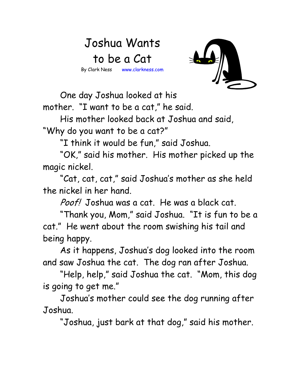## Joshua Wants to be a Cat By Clark Ness www.clarkness.com



One day Joshua looked at his

mother. "I want to be a cat," he said. His mother looked back at Joshua and said,

"Why do you want to be a cat?"

"I think it would be fun," said Joshua.

 "OK," said his mother. His mother picked up the magic nickel.

 "Cat, cat, cat," said Joshua's mother as she held the nickel in her hand.

Poof! Joshua was a cat. He was a black cat.

 "Thank you, Mom," said Joshua. "It is fun to be a cat." He went about the room swishing his tail and being happy.

 As it happens, Joshua's dog looked into the room and saw Joshua the cat. The dog ran after Joshua.

 "Help, help," said Joshua the cat. "Mom, this dog is going to get me."

 Joshua's mother could see the dog running after Joshua.

"Joshua, just bark at that dog," said his mother.